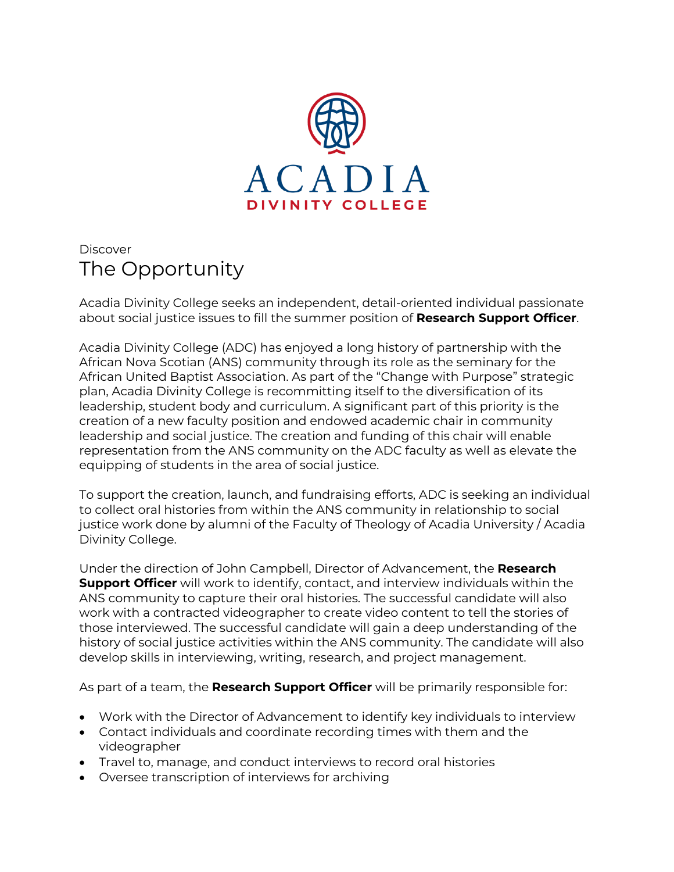

## **Discover** The Opportunity

Acadia Divinity College seeks an independent, detail-oriented individual passionate about social justice issues to fill the summer position of **Research Support Officer**.

Acadia Divinity College (ADC) has enjoyed a long history of partnership with the African Nova Scotian (ANS) community through its role as the seminary for the African United Baptist Association. As part of the "Change with Purpose" strategic plan, Acadia Divinity College is recommitting itself to the diversification of its leadership, student body and curriculum. A significant part of this priority is the creation of a new faculty position and endowed academic chair in community leadership and social justice. The creation and funding of this chair will enable representation from the ANS community on the ADC faculty as well as elevate the equipping of students in the area of social justice.

To support the creation, launch, and fundraising efforts, ADC is seeking an individual to collect oral histories from within the ANS community in relationship to social justice work done by alumni of the Faculty of Theology of Acadia University / Acadia Divinity College.

Under the direction of John Campbell, Director of Advancement, the **Research Support Officer** will work to identify, contact, and interview individuals within the ANS community to capture their oral histories. The successful candidate will also work with a contracted videographer to create video content to tell the stories of those interviewed. The successful candidate will gain a deep understanding of the history of social justice activities within the ANS community. The candidate will also develop skills in interviewing, writing, research, and project management.

As part of a team, the **Research Support Officer** will be primarily responsible for:

- Work with the Director of Advancement to identify key individuals to interview
- Contact individuals and coordinate recording times with them and the videographer
- Travel to, manage, and conduct interviews to record oral histories
- Oversee transcription of interviews for archiving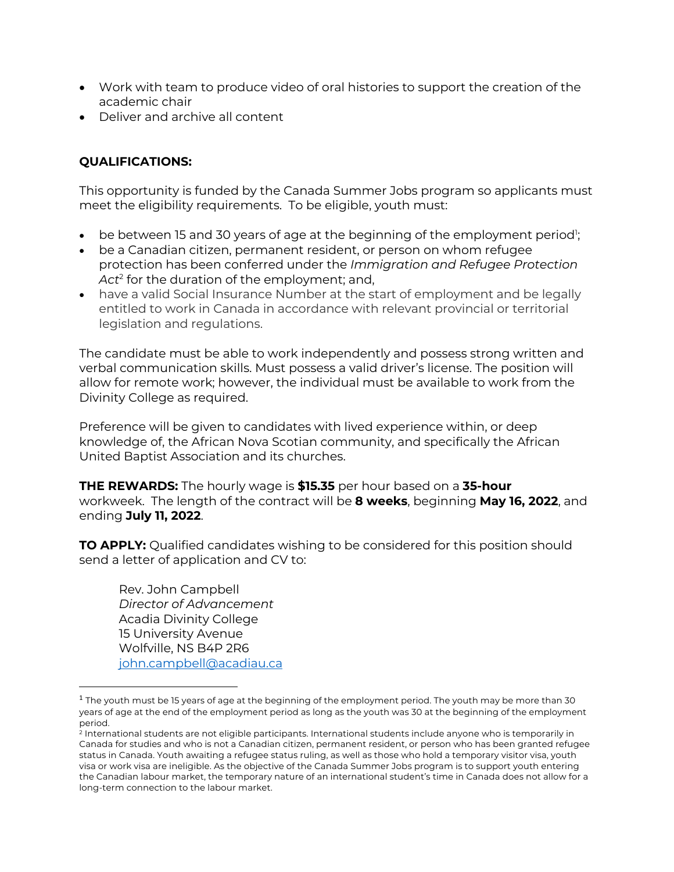- Work with team to produce video of oral histories to support the creation of the academic chair
- Deliver and archive all content

## **QUALIFICATIONS:**

This opportunity is funded by the Canada Summer Jobs program so applicants must meet the eligibility requirements. To be eligible, youth must:

- $\bullet$  be between 15 and 30 years of age at the beginning of the employment period<sup>1</sup>;
- be a Canadian citizen, permanent resident, or person on whom refugee protection has been conferred under the *Immigration and Refugee Protection Act*<sup>2</sup> for the duration of the employment; and,
- have a valid Social Insurance Number at the start of employment and be legally entitled to work in Canada in accordance with relevant provincial or territorial legislation and regulations.

The candidate must be able to work independently and possess strong written and verbal communication skills. Must possess a valid driver's license. The position will allow for remote work; however, the individual must be available to work from the Divinity College as required.

Preference will be given to candidates with lived experience within, or deep knowledge of, the African Nova Scotian community, and specifically the African United Baptist Association and its churches.

**THE REWARDS:** The hourly wage is **\$15.35** per hour based on a **35-hour** workweek. The length of the contract will be **8 weeks**, beginning **May 16, 2022**, and ending **July 11, 2022**.

**TO APPLY:** Qualified candidates wishing to be considered for this position should send a letter of application and CV to:

Rev. John Campbell *Director of Advancement* Acadia Divinity College 15 University Avenue Wolfville, NS B4P 2R6 john.campbell@acadiau.ca

 $1$  The youth must be 15 years of age at the beginning of the employment period. The youth may be more than 30 years of age at the end of the employment period as long as the youth was 30 at the beginning of the employment period.

<sup>2</sup> International students are not eligible participants. International students include anyone who is temporarily in Canada for studies and who is not a Canadian citizen, permanent resident, or person who has been granted refugee status in Canada. Youth awaiting a refugee status ruling, as well as those who hold a temporary visitor visa, youth visa or work visa are ineligible. As the objective of the Canada Summer Jobs program is to support youth entering the Canadian labour market, the temporary nature of an international student's time in Canada does not allow for a long-term connection to the labour market.